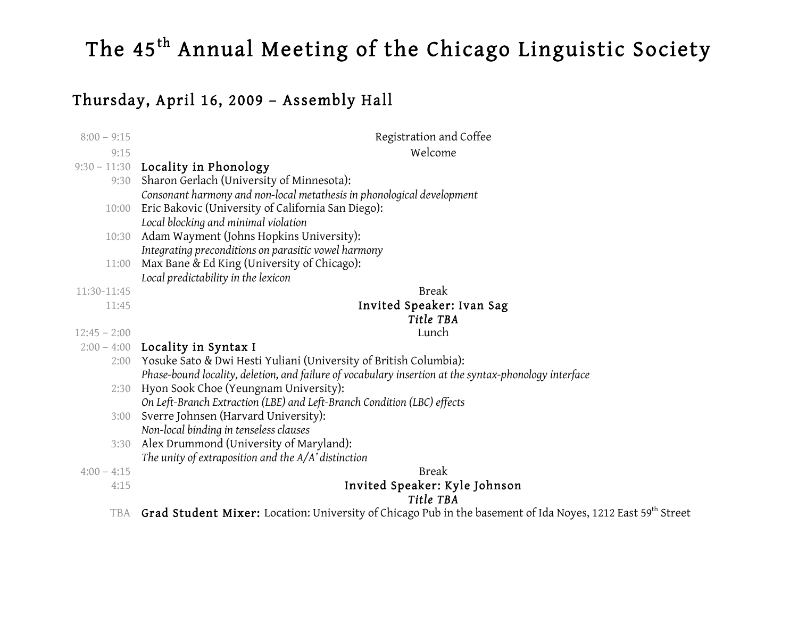# Thursday, April 16, 2009 – Assembly Hall

| $8:00 - 9:15$         | Registration and Coffee                                                                               |  |  |
|-----------------------|-------------------------------------------------------------------------------------------------------|--|--|
| 9:15                  | Welcome                                                                                               |  |  |
|                       | 9:30 - 11:30 Locality in Phonology                                                                    |  |  |
|                       | 9:30 Sharon Gerlach (University of Minnesota):                                                        |  |  |
|                       | Consonant harmony and non-local metathesis in phonological development                                |  |  |
| 10:00                 | Eric Bakovic (University of California San Diego):                                                    |  |  |
|                       | Local blocking and minimal violation                                                                  |  |  |
| 10:30                 | Adam Wayment (Johns Hopkins University):                                                              |  |  |
|                       | Integrating preconditions on parasitic vowel harmony                                                  |  |  |
| 11:00                 | Max Bane & Ed King (University of Chicago):                                                           |  |  |
|                       | Local predictability in the lexicon                                                                   |  |  |
| 11:30-11:45           | <b>Break</b>                                                                                          |  |  |
| 11:45                 | Invited Speaker: Ivan Sag                                                                             |  |  |
|                       | Title TBA                                                                                             |  |  |
| $12:45 - 2:00$        | Lunch                                                                                                 |  |  |
|                       | $2:00 - 4:00$ Locality in Syntax I                                                                    |  |  |
|                       | 2:00 Yosuke Sato & Dwi Hesti Yuliani (University of British Columbia):                                |  |  |
|                       | Phase-bound locality, deletion, and failure of vocabulary insertion at the syntax-phonology interface |  |  |
| 2:30                  | Hyon Sook Choe (Yeungnam University):                                                                 |  |  |
|                       | On Left-Branch Extraction (LBE) and Left-Branch Condition (LBC) effects                               |  |  |
| 3:00                  | Sverre Johnsen (Harvard University):                                                                  |  |  |
|                       | Non-local binding in tenseless clauses                                                                |  |  |
| 3:30                  | Alex Drummond (University of Maryland):                                                               |  |  |
|                       | The unity of extraposition and the $A/A'$ distinction                                                 |  |  |
| $4:00 - 4:15$<br>4:15 | <b>Break</b>                                                                                          |  |  |
|                       | Invited Speaker: Kyle Johnson<br>Title TBA                                                            |  |  |
|                       |                                                                                                       |  |  |

<code>TBA  $\,$  Grad Student Mixer:</code> Location: University of Chicago Pub in the basement of Ida Noyes, 1212 East 59 $^{\rm th}$  Street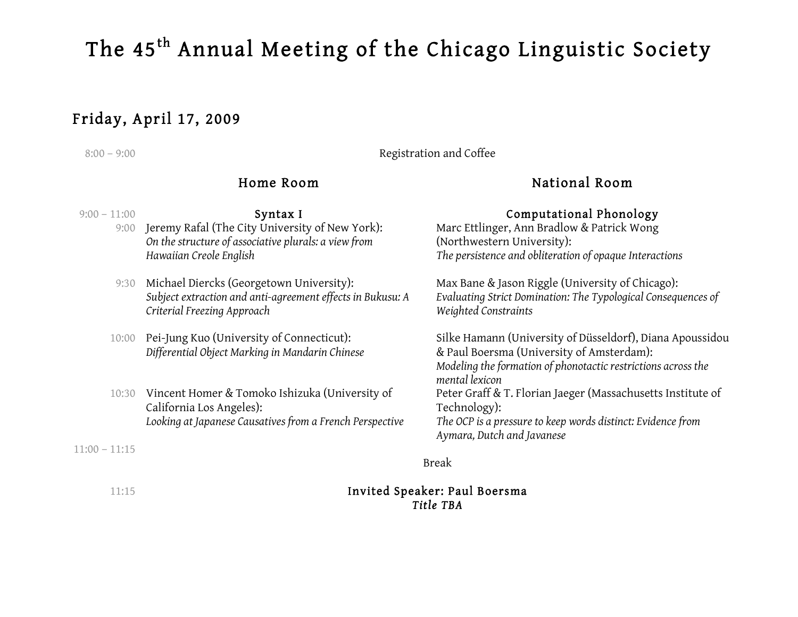# Friday, April 17, 2009

### 8:00 – 9:00 Registration and Coffee

# Home Room

- 9:00 Jeremy Rafal (The City University of New York): *On the structure of associative plurals: a view from Hawaiian Creole English*
- 9:30 Michael Diercks (Georgetown University): *Subject extraction and anti-agreement effects in Bukusu: A Criterial Freezing Approach*
- 10:00 Pei-Jung Kuo (University of Connecticut): *Differential Object Marking in Mandarin Chinese*
- 10:30 Vincent Homer & Tomoko Ishizuka (University of California Los Angeles): *Looking at Japanese Causatives from a French Perspective*

11:00 – 11:15

# National Room

### 9:00 – 11:00 **Syntax I Syntax I Computational Phonology**

Marc Ettlinger, Ann Bradlow & Patrick Wong (Northwestern University): *The persistence and obliteration of opaque Interactions*

Max Bane & Jason Riggle (University of Chicago): *Evaluating Strict Domination: The Typological Consequences of Weighted Constraints*

Silke Hamann (University of Düsseldorf), Diana Apoussidou & Paul Boersma (University of Amsterdam): *Modeling the formation of phonotactic restrictions across the mental lexicon* Peter Graff & T. Florian Jaeger (Massachusetts Institute of Technology): *The OCP is a pressure to keep words distinct: Evidence from Aymara, Dutch and Javanese*

Break

### 11:15 Invited Speaker: Paul Boersma *Title TBA*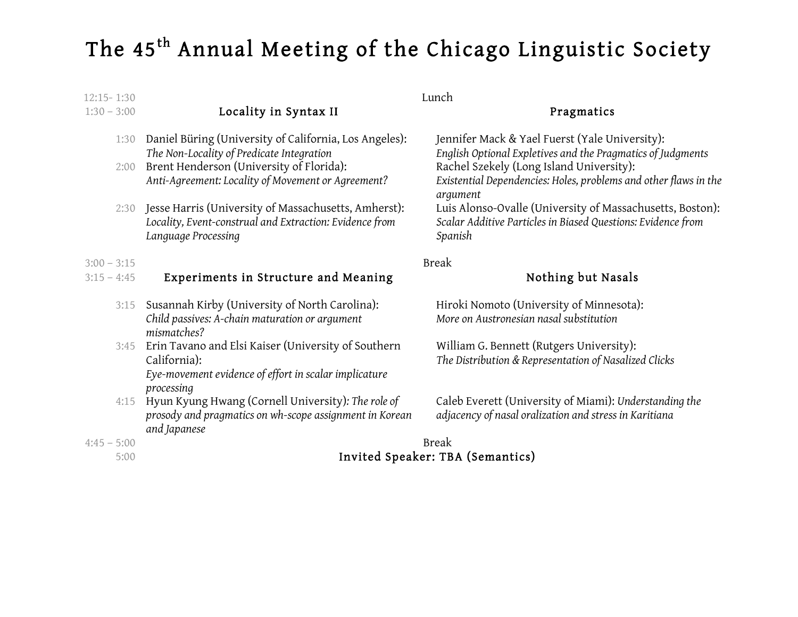| $12:15 - 1:30$ | Lunch                                                                                                                                  |                                                                                                                                      |  |
|----------------|----------------------------------------------------------------------------------------------------------------------------------------|--------------------------------------------------------------------------------------------------------------------------------------|--|
| $1:30 - 3:00$  | Locality in Syntax II                                                                                                                  | Pragmatics                                                                                                                           |  |
| 1:30           | Daniel Büring (University of California, Los Angeles):                                                                                 | Jennifer Mack & Yael Fuerst (Yale University):                                                                                       |  |
| 2:00           | The Non-Locality of Predicate Integration<br>Brent Henderson (University of Florida):                                                  | English Optional Expletives and the Pragmatics of Judgments<br>Rachel Szekely (Long Island University):                              |  |
|                | Anti-Agreement: Locality of Movement or Agreement?                                                                                     | Existential Dependencies: Holes, problems and other flaws in the<br>argument                                                         |  |
| 2:30           | Jesse Harris (University of Massachusetts, Amherst):<br>Locality, Event-construal and Extraction: Evidence from<br>Language Processing | Luis Alonso-Ovalle (University of Massachusetts, Boston):<br>Scalar Additive Particles in Biased Questions: Evidence from<br>Spanish |  |
| $3:00 - 3:15$  | <b>Break</b>                                                                                                                           |                                                                                                                                      |  |
| $3:15 - 4:45$  | Experiments in Structure and Meaning                                                                                                   | Nothing but Nasals                                                                                                                   |  |
| 3:15           | Susannah Kirby (University of North Carolina):<br>Child passives: A-chain maturation or argument<br>mismatches?                        | Hiroki Nomoto (University of Minnesota):<br>More on Austronesian nasal substitution                                                  |  |
| 3:45           | Erin Tavano and Elsi Kaiser (University of Southern<br>California):                                                                    | William G. Bennett (Rutgers University):<br>The Distribution & Representation of Nasalized Clicks                                    |  |
|                | Eye-movement evidence of effort in scalar implicature<br>processing                                                                    |                                                                                                                                      |  |
| 4:15           | Hyun Kyung Hwang (Cornell University): The role of<br>prosody and pragmatics on wh-scope assignment in Korean<br>and Japanese          | Caleb Everett (University of Miami): Understanding the<br>adjacency of nasal oralization and stress in Karitiana                     |  |

- 4:45 5:00 Break
	- 5:00 Invited Speaker: TBA (Semantics)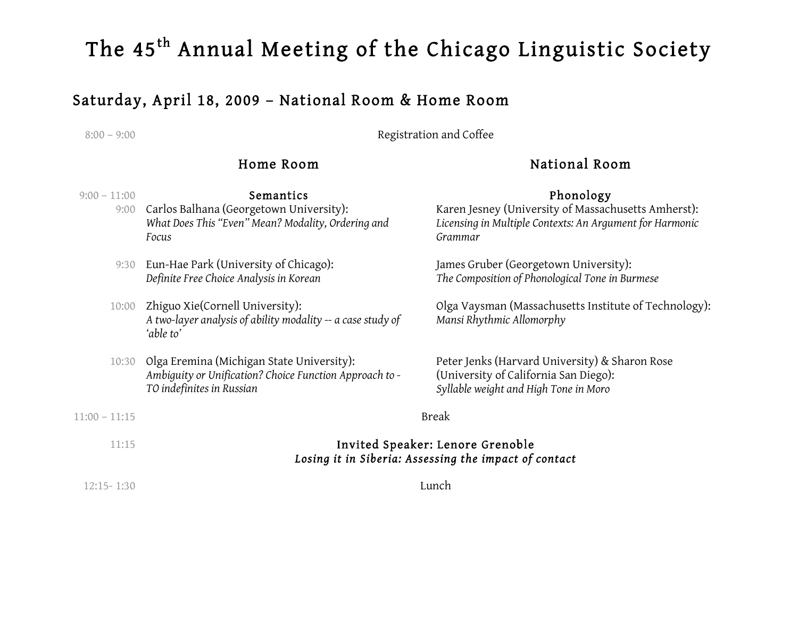# Saturday, April 18, 2009 – National Room & Home Room

8:00 – 9:00 **Registration and Coffee** 

# Home Room

# National Room

#### 9:00 – 11:00 **Semantics Semantics Phonology** 9:00 Carlos Balhana (Georgetown University): *What Does This "Even" Mean? Modality, Ordering and Focus* Karen Jesney (University of Massachusetts Amherst): *Licensing in Multiple Contexts: An Argument for Harmonic Grammar* 9:30 Eun-Hae Park (University of Chicago): *Definite Free Choice Analysis in Korean* James Gruber (Georgetown University): *The Composition of Phonological Tone in Burmese* 10:00 Zhiguo Xie(Cornell University): *A two-layer analysis of ability modality -- a case study of 'able to'* Olga Vaysman (Massachusetts Institute of Technology): *Mansi Rhythmic Allomorphy* 10:30 Olga Eremina (Michigan State University): *Ambiguity or Unification? Choice Function Approach to - TO indefinites in Russian* Peter Jenks (Harvard University) & Sharon Rose (University of California San Diego): *Syllable weight and High Tone in Moro*  $11:00 - 11:15$  Break 11:15 Invited Speaker: Lenore Grenoble *Losing it in Siberia: Assessing the impact of contact*

12:15- 1:30 Lunch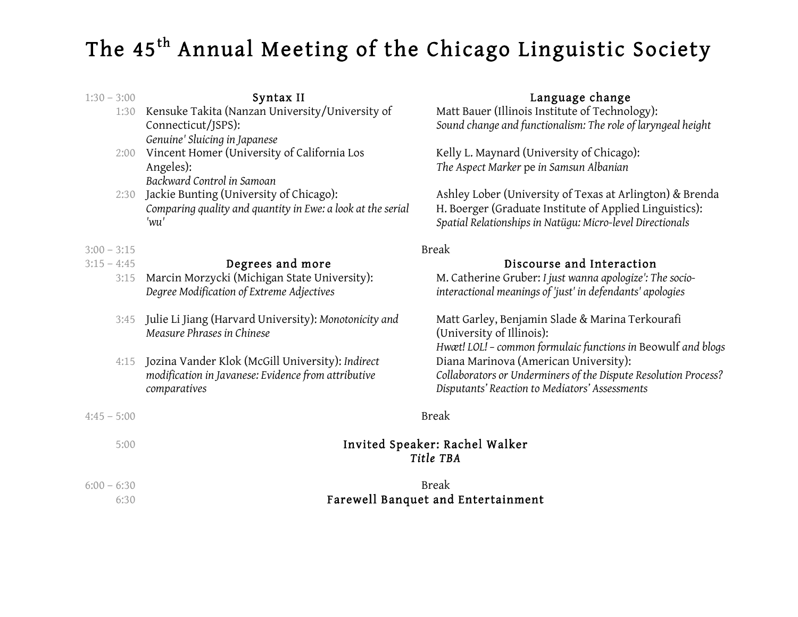#### 1:30 – 3:00 Syntax II Language change 1:30 Kensuke Takita (Nanzan University/University of Connecticut/JSPS): *Genuine' Sluicing in Japanese* Matt Bauer (Illinois Institute of Technology): *Sound change and functionalism: The role of laryngeal height* 2:00 Vincent Homer (University of California Los Angeles): *Backward Control in Samoan* Kelly L. Maynard (University of Chicago): *The Aspect Marker* pe *in Samsun Albanian* 2:30 Jackie Bunting (University of Chicago): *Comparing quality and quantity in Ewe: a look at the serial 'wu'* Ashley Lober (University of Texas at Arlington) & Brenda H. Boerger (Graduate Institute of Applied Linguistics): *Spatial Relationships in Natügu: Micro-level Directionals*  $3:00 - 3:15$  Break 3:15 – 4:45 Degrees and moreDiscourse and Interaction 3:15 Marcin Morzycki (Michigan State University): *Degree Modification of Extreme Adjectives* M. Catherine Gruber: *I just wanna apologize': The sociointeractional meanings of 'just' in defendants' apologies* 3:45 Julie Li Jiang (Harvard University): *Monotonicity and Measure Phrases in Chinese* Matt Garley, Benjamin Slade & Marina Terkourafi (University of Illinois): *Hwæt! LOL! – common formulaic functions in* Beowulf *and blogs* 4:15 Jozina Vander Klok (McGill University): *Indirect modification in Javanese: Evidence from attributive comparatives* Diana Marinova (American University): *Collaborators or Underminers of the Dispute Resolution Process? Disputants' Reaction to Mediators' Assessments* 4:45 – 5:00 Break

# 5:00 Invited Speaker: Rachel Walker *Title TBA*

### $6:00 - 6:30$  Break 6:30 Farewell Banquet and Entertainment